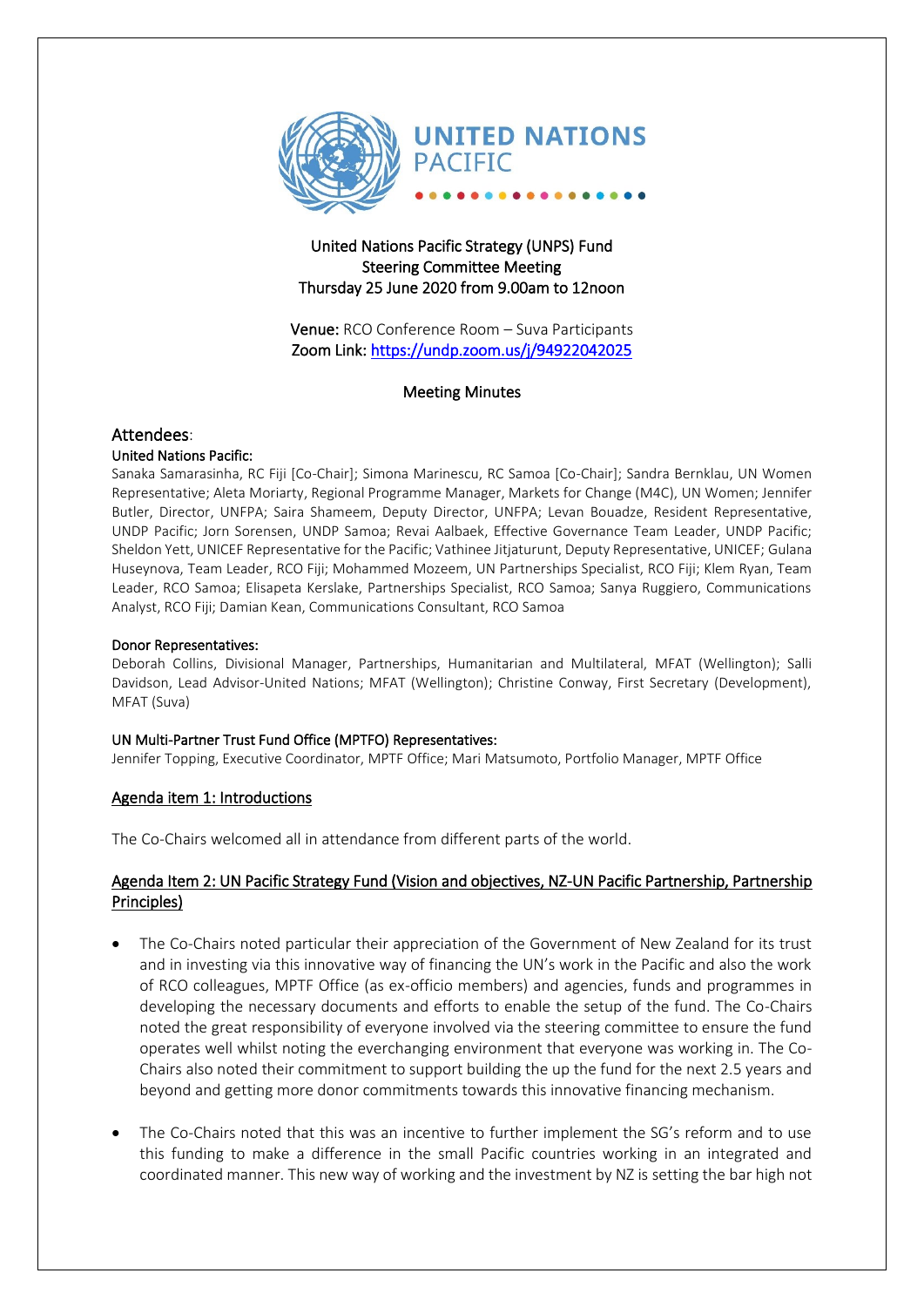

# United Nations Pacific Strategy (UNPS) Fund Steering Committee Meeting Thursday 25 June 2020 from 9.00am to 12noon

Venue: RCO Conference Room – Suva Participants Zoom Link:<https://undp.zoom.us/j/94922042025>

#### Meeting Minutes

# Attendees:

#### United Nations Pacific:

Sanaka Samarasinha, RC Fiji [Co-Chair]; Simona Marinescu, RC Samoa [Co-Chair]; Sandra Bernklau, UN Women Representative; Aleta Moriarty, Regional Programme Manager, Markets for Change (M4C), UN Women; Jennifer Butler, Director, UNFPA; Saira Shameem, Deputy Director, UNFPA; Levan Bouadze, Resident Representative, UNDP Pacific; Jorn Sorensen, UNDP Samoa; Revai Aalbaek, Effective Governance Team Leader, UNDP Pacific; Sheldon Yett, UNICEF Representative for the Pacific; Vathinee Jitjaturunt, Deputy Representative, UNICEF; Gulana Huseynova, Team Leader, RCO Fiji; Mohammed Mozeem, UN Partnerships Specialist, RCO Fiji; Klem Ryan, Team Leader, RCO Samoa; Elisapeta Kerslake, Partnerships Specialist, RCO Samoa; Sanya Ruggiero, Communications Analyst, RCO Fiji; Damian Kean, Communications Consultant, RCO Samoa

#### Donor Representatives:

Deborah Collins, Divisional Manager, Partnerships, Humanitarian and Multilateral, MFAT (Wellington); Salli Davidson, Lead Advisor-United Nations; MFAT (Wellington); Christine Conway, First Secretary (Development), MFAT (Suva)

#### UN Multi-Partner Trust Fund Office (MPTFO) Representatives:

Jennifer Topping, Executive Coordinator, MPTF Office; Mari Matsumoto, Portfolio Manager, MPTF Office

#### Agenda item 1: Introductions

The Co-Chairs welcomed all in attendance from different parts of the world.

#### Agenda Item 2: UN Pacific Strategy Fund (Vision and objectives, NZ-UN Pacific Partnership, Partnership Principles)

- The Co-Chairs noted particular their appreciation of the Government of New Zealand for its trust and in investing via this innovative way of financing the UN's work in the Pacific and also the work of RCO colleagues, MPTF Office (as ex-officio members) and agencies, funds and programmes in developing the necessary documents and efforts to enable the setup of the fund. The Co-Chairs noted the great responsibility of everyone involved via the steering committee to ensure the fund operates well whilst noting the everchanging environment that everyone was working in. The Co-Chairs also noted their commitment to support building the up the fund for the next 2.5 years and beyond and getting more donor commitments towards this innovative financing mechanism.
- The Co-Chairs noted that this was an incentive to further implement the SG's reform and to use this funding to make a difference in the small Pacific countries working in an integrated and coordinated manner. This new way of working and the investment by NZ is setting the bar high not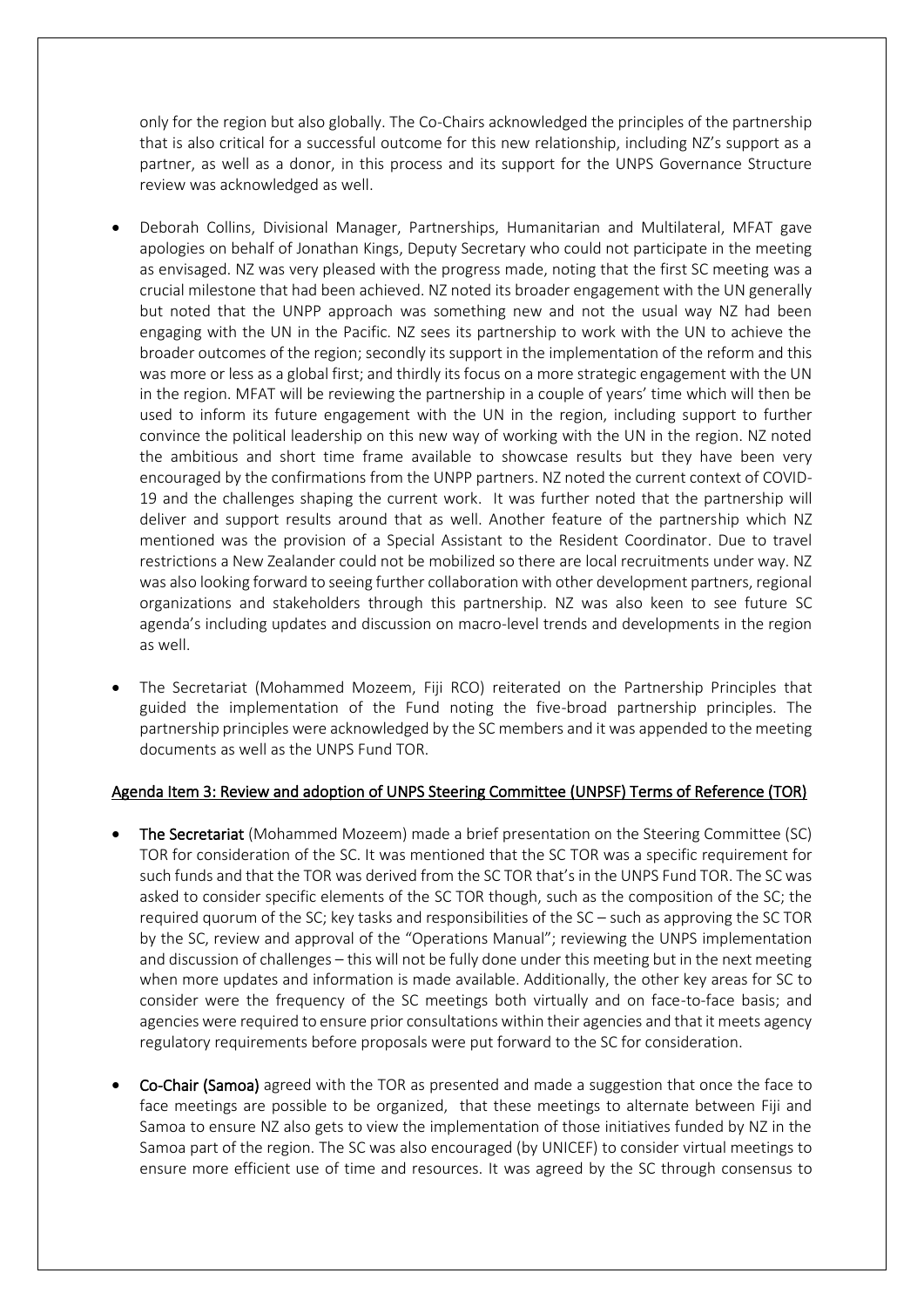only for the region but also globally. The Co-Chairs acknowledged the principles of the partnership that is also critical for a successful outcome for this new relationship, including NZ's support as a partner, as well as a donor, in this process and its support for the UNPS Governance Structure review was acknowledged as well.

- Deborah Collins, Divisional Manager, Partnerships, Humanitarian and Multilateral, MFAT gave apologies on behalf of Jonathan Kings, Deputy Secretary who could not participate in the meeting as envisaged. NZ was very pleased with the progress made, noting that the first SC meeting was a crucial milestone that had been achieved. NZ noted its broader engagement with the UN generally but noted that the UNPP approach was something new and not the usual way NZ had been engaging with the UN in the Pacific. NZ sees its partnership to work with the UN to achieve the broader outcomes of the region; secondly its support in the implementation of the reform and this was more or less as a global first; and thirdly its focus on a more strategic engagement with the UN in the region. MFAT will be reviewing the partnership in a couple of years' time which will then be used to inform its future engagement with the UN in the region, including support to further convince the political leadership on this new way of working with the UN in the region. NZ noted the ambitious and short time frame available to showcase results but they have been very encouraged by the confirmations from the UNPP partners. NZ noted the current context of COVID-19 and the challenges shaping the current work. It was further noted that the partnership will deliver and support results around that as well. Another feature of the partnership which NZ mentioned was the provision of a Special Assistant to the Resident Coordinator. Due to travel restrictions a New Zealander could not be mobilized so there are local recruitments under way. NZ was also looking forward to seeing further collaboration with other development partners, regional organizations and stakeholders through this partnership. NZ was also keen to see future SC agenda's including updates and discussion on macro-level trends and developments in the region as well.
- The Secretariat (Mohammed Mozeem, Fiji RCO) reiterated on the Partnership Principles that guided the implementation of the Fund noting the five-broad partnership principles. The partnership principles were acknowledged by the SC members and it was appended to the meeting documents as well as the UNPS Fund TOR.

## Agenda Item 3: Review and adoption of UNPS Steering Committee (UNPSF) Terms of Reference (TOR)

- The Secretariat (Mohammed Mozeem) made a brief presentation on the Steering Committee (SC) TOR for consideration of the SC. It was mentioned that the SC TOR was a specific requirement for such funds and that the TOR was derived from the SC TOR that's in the UNPS Fund TOR. The SC was asked to consider specific elements of the SC TOR though, such as the composition of the SC; the required quorum of the SC; key tasks and responsibilities of the SC – such as approving the SC TOR by the SC, review and approval of the "Operations Manual"; reviewing the UNPS implementation and discussion of challenges – this will not be fully done under this meeting but in the next meeting when more updates and information is made available. Additionally, the other key areas for SC to consider were the frequency of the SC meetings both virtually and on face-to-face basis; and agencies were required to ensure prior consultations within their agencies and that it meets agency regulatory requirements before proposals were put forward to the SC for consideration.
- Co-Chair (Samoa) agreed with the TOR as presented and made a suggestion that once the face to face meetings are possible to be organized, that these meetings to alternate between Fiji and Samoa to ensure NZ also gets to view the implementation of those initiatives funded by NZ in the Samoa part of the region. The SC was also encouraged (by UNICEF) to consider virtual meetings to ensure more efficient use of time and resources. It was agreed by the SC through consensus to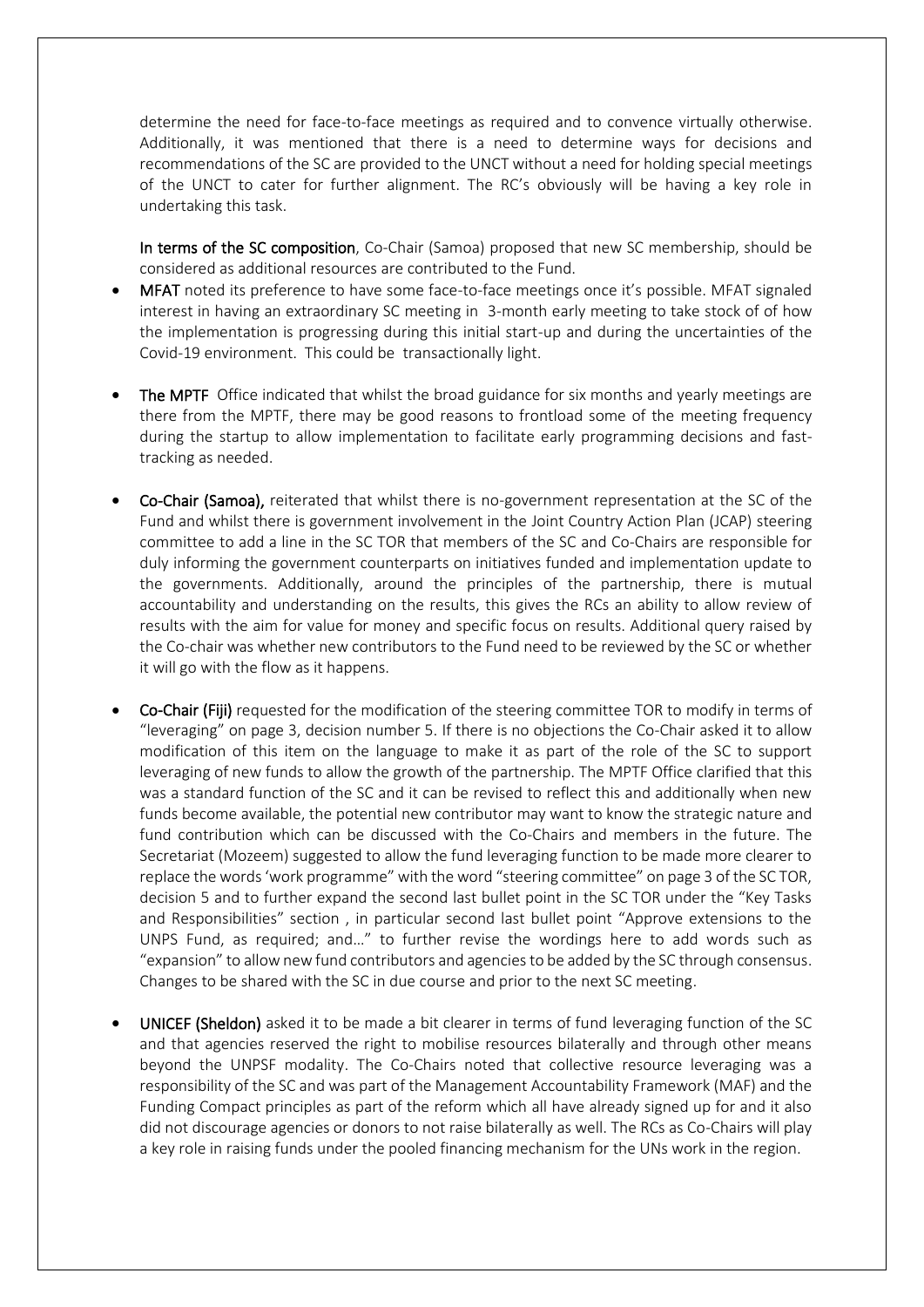determine the need for face-to-face meetings as required and to convence virtually otherwise. Additionally, it was mentioned that there is a need to determine ways for decisions and recommendations of the SC are provided to the UNCT without a need for holding special meetings of the UNCT to cater for further alignment. The RC's obviously will be having a key role in undertaking this task.

In terms of the SC composition, Co-Chair (Samoa) proposed that new SC membership, should be considered as additional resources are contributed to the Fund.

- MFAT noted its preference to have some face-to-face meetings once it's possible. MFAT signaled interest in having an extraordinary SC meeting in 3-month early meeting to take stock of of how the implementation is progressing during this initial start-up and during the uncertainties of the Covid-19 environment. This could be transactionally light.
- The MPTF Office indicated that whilst the broad guidance for six months and yearly meetings are there from the MPTF, there may be good reasons to frontload some of the meeting frequency during the startup to allow implementation to facilitate early programming decisions and fasttracking as needed.
- Co-Chair (Samoa), reiterated that whilst there is no-government representation at the SC of the Fund and whilst there is government involvement in the Joint Country Action Plan (JCAP) steering committee to add a line in the SC TOR that members of the SC and Co-Chairs are responsible for duly informing the government counterparts on initiatives funded and implementation update to the governments. Additionally, around the principles of the partnership, there is mutual accountability and understanding on the results, this gives the RCs an ability to allow review of results with the aim for value for money and specific focus on results. Additional query raised by the Co-chair was whether new contributors to the Fund need to be reviewed by the SC or whether it will go with the flow as it happens.
- Co-Chair (Fiji) requested for the modification of the steering committee TOR to modify in terms of "leveraging" on page 3, decision number 5. If there is no objections the Co-Chair asked it to allow modification of this item on the language to make it as part of the role of the SC to support leveraging of new funds to allow the growth of the partnership. The MPTF Office clarified that this was a standard function of the SC and it can be revised to reflect this and additionally when new funds become available, the potential new contributor may want to know the strategic nature and fund contribution which can be discussed with the Co-Chairs and members in the future. The Secretariat (Mozeem) suggested to allow the fund leveraging function to be made more clearer to replace the words 'work programme" with the word "steering committee" on page 3 of the SC TOR, decision 5 and to further expand the second last bullet point in the SC TOR under the "Key Tasks and Responsibilities" section , in particular second last bullet point "Approve extensions to the UNPS Fund, as required; and…" to further revise the wordings here to add words such as "expansion" to allow new fund contributors and agencies to be added by the SC through consensus. Changes to be shared with the SC in due course and prior to the next SC meeting.
- UNICEF (Sheldon) asked it to be made a bit clearer in terms of fund leveraging function of the SC and that agencies reserved the right to mobilise resources bilaterally and through other means beyond the UNPSF modality. The Co-Chairs noted that collective resource leveraging was a responsibility of the SC and was part of the Management Accountability Framework (MAF) and the Funding Compact principles as part of the reform which all have already signed up for and it also did not discourage agencies or donors to not raise bilaterally as well. The RCs as Co-Chairs will play a key role in raising funds under the pooled financing mechanism for the UNs work in the region.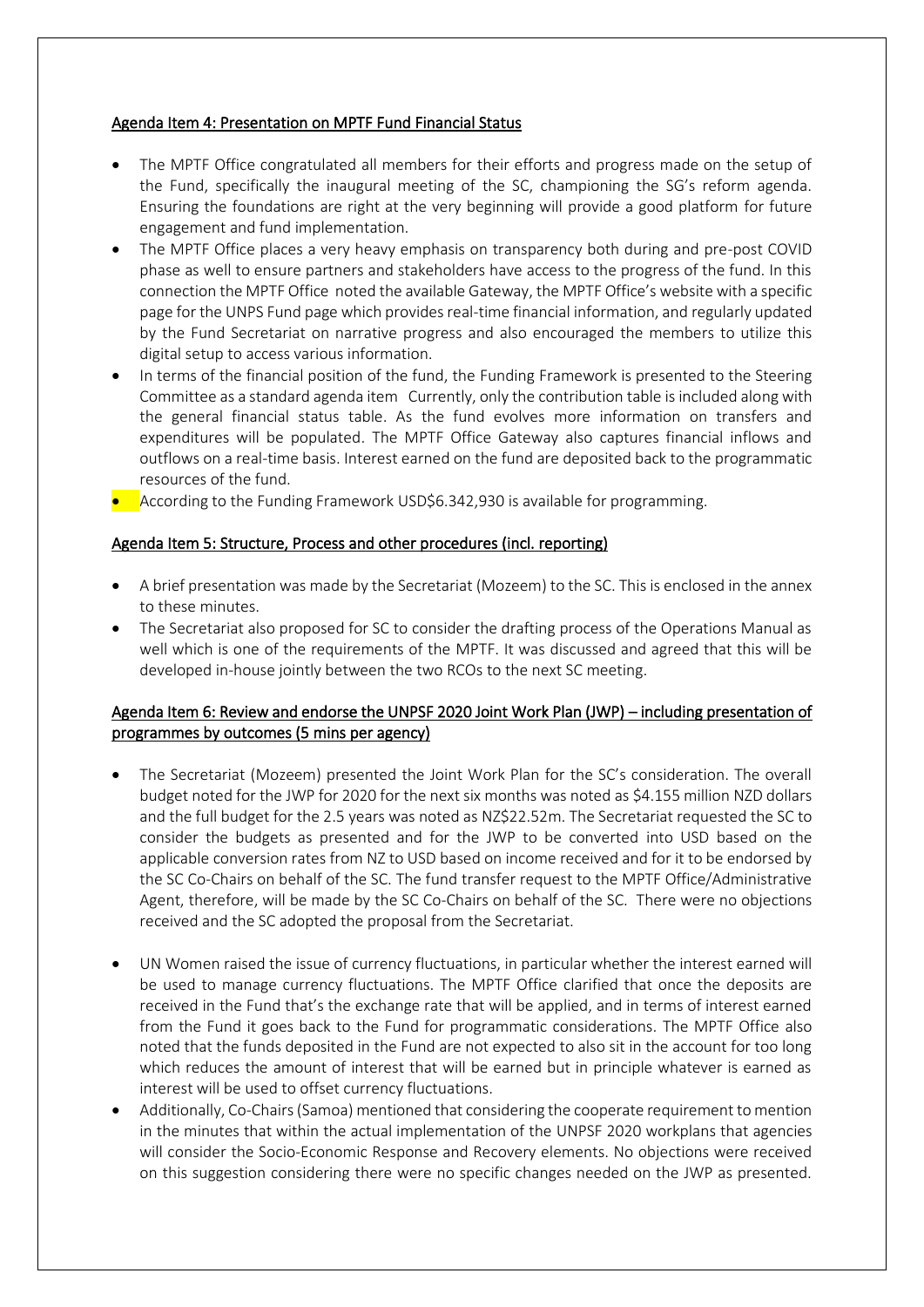## Agenda Item 4: Presentation on MPTF Fund Financial Status

- The MPTF Office congratulated all members for their efforts and progress made on the setup of the Fund, specifically the inaugural meeting of the SC, championing the SG's reform agenda. Ensuring the foundations are right at the very beginning will provide a good platform for future engagement and fund implementation.
- The MPTF Office places a very heavy emphasis on transparency both during and pre-post COVID phase as well to ensure partners and stakeholders have access to the progress of the fund. In this connection the MPTF Office noted the available Gateway, the MPTF Office's website with a specific page for the UNPS Fund page which provides real-time financial information, and regularly updated by the Fund Secretariat on narrative progress and also encouraged the members to utilize this digital setup to access various information.
- In terms of the financial position of the fund, the Funding Framework is presented to the Steering Committee as a standard agenda item Currently, only the contribution table is included along with the general financial status table. As the fund evolves more information on transfers and expenditures will be populated. The MPTF Office Gateway also captures financial inflows and outflows on a real-time basis. Interest earned on the fund are deposited back to the programmatic resources of the fund.
- According to the Funding Framework USD\$6.342,930 is available for programming.

## Agenda Item 5: Structure, Process and other procedures (incl. reporting)

- A brief presentation was made by the Secretariat (Mozeem) to the SC. This is enclosed in the annex to these minutes.
- The Secretariat also proposed for SC to consider the drafting process of the Operations Manual as well which is one of the requirements of the MPTF. It was discussed and agreed that this will be developed in-house jointly between the two RCOs to the next SC meeting.

# Agenda Item 6: Review and endorse the UNPSF 2020 Joint Work Plan (JWP) – including presentation of programmes by outcomes (5 mins per agency)

- The Secretariat (Mozeem) presented the Joint Work Plan for the SC's consideration. The overall budget noted for the JWP for 2020 for the next six months was noted as \$4.155 million NZD dollars and the full budget for the 2.5 years was noted as NZ\$22.52m. The Secretariat requested the SC to consider the budgets as presented and for the JWP to be converted into USD based on the applicable conversion rates from NZ to USD based on income received and for it to be endorsed by the SC Co-Chairs on behalf of the SC. The fund transfer request to the MPTF Office/Administrative Agent, therefore, will be made by the SC Co-Chairs on behalf of the SC. There were no objections received and the SC adopted the proposal from the Secretariat.
- UN Women raised the issue of currency fluctuations, in particular whether the interest earned will be used to manage currency fluctuations. The MPTF Office clarified that once the deposits are received in the Fund that's the exchange rate that will be applied, and in terms of interest earned from the Fund it goes back to the Fund for programmatic considerations. The MPTF Office also noted that the funds deposited in the Fund are not expected to also sit in the account for too long which reduces the amount of interest that will be earned but in principle whatever is earned as interest will be used to offset currency fluctuations.
- Additionally, Co-Chairs(Samoa) mentioned that considering the cooperate requirement to mention in the minutes that within the actual implementation of the UNPSF 2020 workplans that agencies will consider the Socio-Economic Response and Recovery elements. No objections were received on this suggestion considering there were no specific changes needed on the JWP as presented.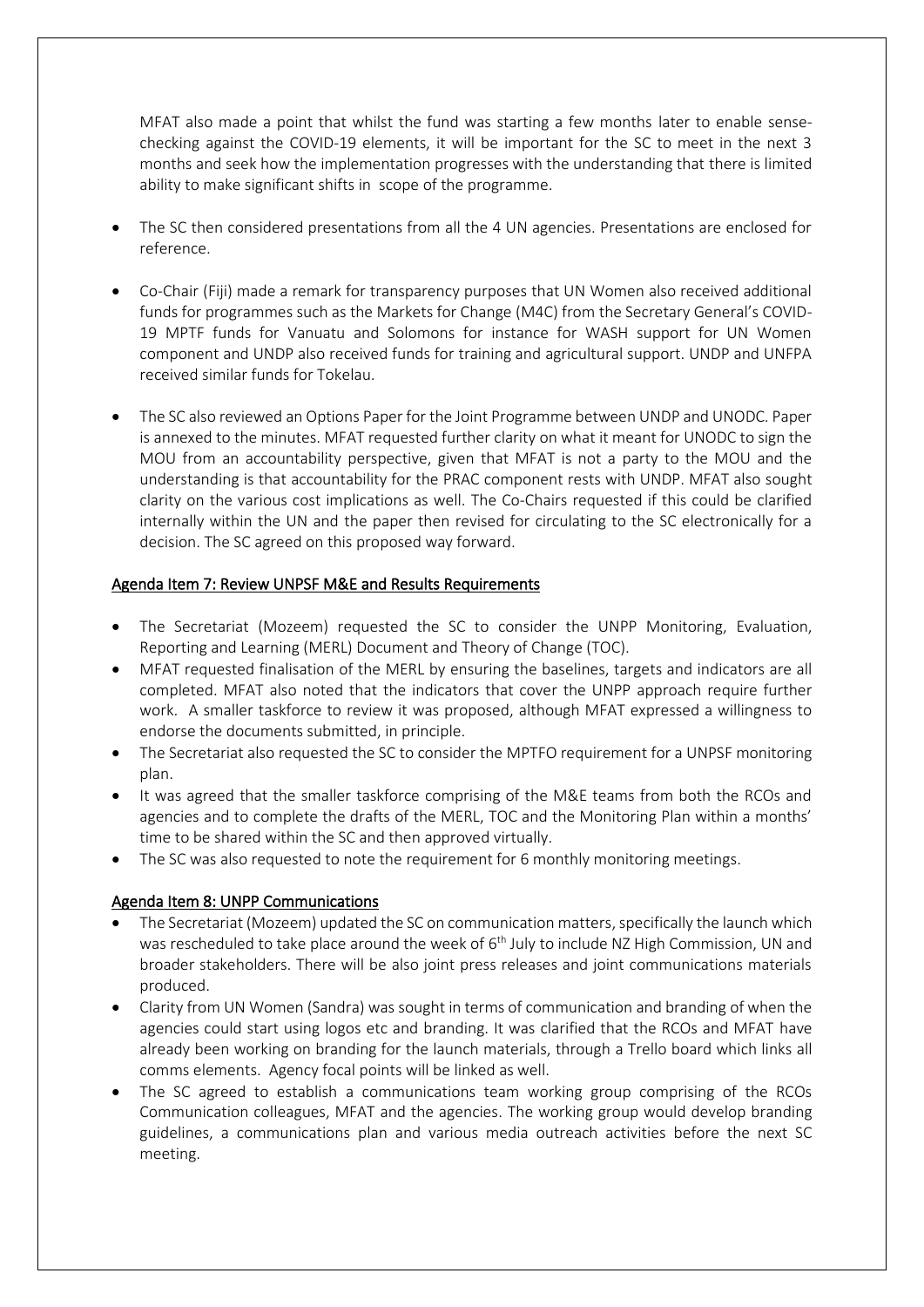MFAT also made a point that whilst the fund was starting a few months later to enable sensechecking against the COVID-19 elements, it will be important for the SC to meet in the next 3 months and seek how the implementation progresses with the understanding that there is limited ability to make significant shifts in scope of the programme.

- The SC then considered presentations from all the 4 UN agencies. Presentations are enclosed for reference.
- Co-Chair (Fiji) made a remark for transparency purposes that UN Women also received additional funds for programmes such as the Markets for Change (M4C) from the Secretary General's COVID-19 MPTF funds for Vanuatu and Solomons for instance for WASH support for UN Women component and UNDP also received funds for training and agricultural support. UNDP and UNFPA received similar funds for Tokelau.
- The SC also reviewed an Options Paper for the Joint Programme between UNDP and UNODC. Paper is annexed to the minutes. MFAT requested further clarity on what it meant for UNODC to sign the MOU from an accountability perspective, given that MFAT is not a party to the MOU and the understanding is that accountability for the PRAC component rests with UNDP. MFAT also sought clarity on the various cost implications as well. The Co-Chairs requested if this could be clarified internally within the UN and the paper then revised for circulating to the SC electronically for a decision. The SC agreed on this proposed way forward.

## Agenda Item 7: Review UNPSF M&E and Results Requirements

- The Secretariat (Mozeem) requested the SC to consider the UNPP Monitoring, Evaluation, Reporting and Learning (MERL) Document and Theory of Change (TOC).
- MFAT requested finalisation of the MERL by ensuring the baselines, targets and indicators are all completed. MFAT also noted that the indicators that cover the UNPP approach require further work. A smaller taskforce to review it was proposed, although MFAT expressed a willingness to endorse the documents submitted, in principle.
- The Secretariat also requested the SC to consider the MPTFO requirement for a UNPSF monitoring plan.
- It was agreed that the smaller taskforce comprising of the M&E teams from both the RCOs and agencies and to complete the drafts of the MERL, TOC and the Monitoring Plan within a months' time to be shared within the SC and then approved virtually.
- The SC was also requested to note the requirement for 6 monthly monitoring meetings.

## Agenda Item 8: UNPP Communications

- The Secretariat (Mozeem) updated the SC on communication matters, specifically the launch which was rescheduled to take place around the week of 6<sup>th</sup> July to include NZ High Commission, UN and broader stakeholders. There will be also joint press releases and joint communications materials produced.
- Clarity from UN Women (Sandra) was sought in terms of communication and branding of when the agencies could start using logos etc and branding. It was clarified that the RCOs and MFAT have already been working on branding for the launch materials, through a Trello board which links all comms elements. Agency focal points will be linked as well.
- The SC agreed to establish a communications team working group comprising of the RCOs Communication colleagues, MFAT and the agencies. The working group would develop branding guidelines, a communications plan and various media outreach activities before the next SC meeting.